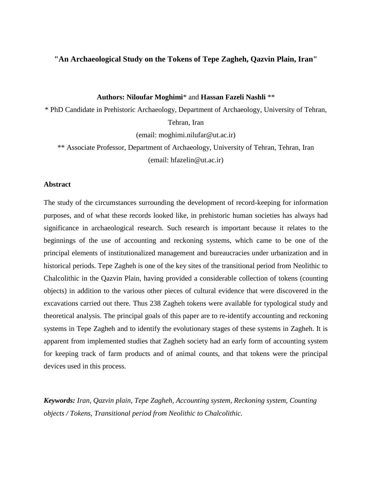# **"An Archaeological Study on the Tokens of Tepe Zagheh, Qazvin Plain, Iran"**

#### **Authors: Niloufar Moghimi**\* and **Hassan Fazeli Nashli** \*\*

\* PhD Candidate in Prehistoric Archaeology, Department of Archaeology, University of Tehran, Tehran, Iran

(email: moghimi.nilufar@ut.ac.ir)

\*\* Associate Professor, Department of Archaeology, University of Tehran, Tehran, Iran (email: hfazelin@ut.ac.ir)

### **Abstract**

The study of the circumstances surrounding the development of record-keeping for information purposes, and of what these records looked like, in prehistoric human societies has always had significance in archaeological research. Such research is important because it relates to the beginnings of the use of accounting and reckoning systems, which came to be one of the principal elements of institutionalized management and bureaucracies under urbanization and in historical periods. Tepe Zagheh is one of the key sites of the transitional period from Neolithic to Chalcolithic in the Qazvin Plain, having provided a considerable collection of tokens (counting objects) in addition to the various other pieces of cultural evidence that were discovered in the excavations carried out there. Thus 238 Zagheh tokens were available for typological study and theoretical analysis. The principal goals of this paper are to re-identify accounting and reckoning systems in Tepe Zagheh and to identify the evolutionary stages of these systems in Zagheh. It is apparent from implemented studies that Zagheh society had an early form of accounting system for keeping track of farm products and of animal counts, and that tokens were the principal devices used in this process.

*Keywords: Iran, Qazvin plain, Tepe Zagheh, Accounting system, Reckoning system, Counting objects / Tokens, Transitional period from Neolithic to Chalcolithic.*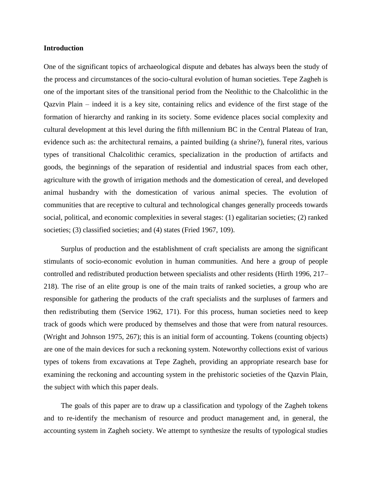#### **Introduction**

One of the significant topics of archaeological dispute and debates has always been the study of the process and circumstances of the socio-cultural evolution of human societies. Tepe Zagheh is one of the important sites of the transitional period from the Neolithic to the Chalcolithic in the Qazvin Plain – indeed it is a key site, containing relics and evidence of the first stage of the formation of hierarchy and ranking in its society. Some evidence places social complexity and cultural development at this level during the fifth millennium BC in the Central Plateau of Iran, evidence such as: the architectural remains, a painted building (a shrine?), funeral rites, various types of transitional Chalcolithic ceramics, specialization in the production of artifacts and goods, the beginnings of the separation of residential and industrial spaces from each other, agriculture with the growth of irrigation methods and the domestication of cereal, and developed animal husbandry with the domestication of various animal species. The evolution of communities that are receptive to cultural and technological changes generally proceeds towards social, political, and economic complexities in several stages: (1) egalitarian societies; (2) ranked societies; (3) classified societies; and (4) states (Fried 1967, 109).

Surplus of production and the establishment of craft specialists are among the significant stimulants of socio-economic evolution in human communities. And here a group of people controlled and redistributed production between specialists and other residents (Hirth 1996, 217– 218). The rise of an elite group is one of the main traits of ranked societies, a group who are responsible for gathering the products of the craft specialists and the surpluses of farmers and then redistributing them (Service 1962, 171). For this process, human societies need to keep track of goods which were produced by themselves and those that were from natural resources. (Wright and Johnson 1975, 267); this is an initial form of accounting. Tokens (counting objects) are one of the main devices for such a reckoning system. Noteworthy collections exist of various types of tokens from excavations at Tepe Zagheh, providing an appropriate research base for examining the reckoning and accounting system in the prehistoric societies of the Qazvin Plain, the subject with which this paper deals.

The goals of this paper are to draw up a classification and typology of the Zagheh tokens and to re-identify the mechanism of resource and product management and, in general, the accounting system in Zagheh society. We attempt to synthesize the results of typological studies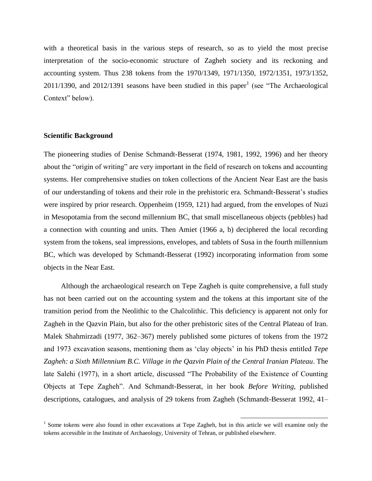with a theoretical basis in the various steps of research, so as to yield the most precise interpretation of the socio-economic structure of Zagheh society and its reckoning and accounting system. Thus 238 tokens from the 1970/1349, 1971/1350, 1972/1351, 1973/1352,  $2011/1390$ , and  $2012/1391$  seasons have been studied in this paper<sup>1</sup> (see "The Archaeological Context" below).

#### **Scientific Background**

The pioneering studies of Denise Schmandt-Besserat (1974, 1981, 1992, 1996) and her theory about the "origin of writing" are very important in the field of research on tokens and accounting systems. Her comprehensive studies on token collections of the Ancient Near East are the basis of our understanding of tokens and their role in the prehistoric era. Schmandt-Besserat's studies were inspired by prior research. Oppenheim (1959, 121) had argued, from the envelopes of Nuzi in Mesopotamia from the second millennium BC, that small miscellaneous objects (pebbles) had a connection with counting and units. Then Amiet (1966 a, b) deciphered the local recording system from the tokens, seal impressions, envelopes, and tablets of Susa in the fourth millennium BC, which was developed by Schmandt-Besserat (1992) incorporating information from some objects in the Near East.

Although the archaeological research on Tepe Zagheh is quite comprehensive, a full study has not been carried out on the accounting system and the tokens at this important site of the transition period from the Neolithic to the Chalcolithic. This deficiency is apparent not only for Zagheh in the Qazvin Plain, but also for the other prehistoric sites of the Central Plateau of Iran. Malek Shahmirzadi (1977, 362–367) merely published some pictures of tokens from the 1972 and 1973 excavation seasons, mentioning them as 'clay objects' in his PhD thesis entitled *Tepe Zagheh: a Sixth Millennium B.C. Village in the Qazvin Plain of the Central Iranian Plateau*. The late Salehi (1977), in a short article, discussed "The Probability of the Existence of Counting Objects at Tepe Zagheh". And Schmandt-Besserat, in her book *Before Writing*, published descriptions, catalogues, and analysis of 29 tokens from Zagheh (Schmandt-Besserat 1992, 41–

<sup>&</sup>lt;sup>1</sup> Some tokens were also found in other excavations at Tepe Zagheh, but in this article we will examine only the tokens accessible in the Institute of Archaeology, University of Tehran, or published elsewhere.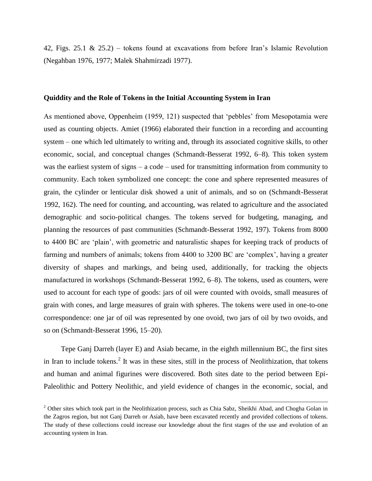42, Figs. 25.1 & 25.2) – tokens found at excavations from before Iran's Islamic Revolution (Negahban 1976, 1977; Malek Shahmirzadi 1977).

#### **Quiddity and the Role of Tokens in the Initial Accounting System in Iran**

As mentioned above, Oppenheim (1959, 121) suspected that 'pebbles' from Mesopotamia were used as counting objects. Amiet (1966) elaborated their function in a recording and accounting system – one which led ultimately to writing and, through its associated cognitive skills, to other economic, social, and conceptual changes (Schmandt-Besserat 1992, 6–8). This token system was the earliest system of signs – a code – used for transmitting information from community to community. Each token symbolized one concept: the cone and sphere represented measures of grain, the cylinder or lenticular disk showed a unit of animals, and so on (Schmandt-Besserat 1992, 162). The need for counting, and accounting, was related to agriculture and the associated demographic and socio-political changes. The tokens served for budgeting, managing, and planning the resources of past communities (Schmandt-Besserat 1992, 197). Tokens from 8000 to 4400 BC are 'plain', with geometric and naturalistic shapes for keeping track of products of farming and numbers of animals; tokens from 4400 to 3200 BC are 'complex', having a greater diversity of shapes and markings, and being used, additionally, for tracking the objects manufactured in workshops (Schmandt-Besserat 1992, 6–8). The tokens, used as counters, were used to account for each type of goods: jars of oil were counted with ovoids, small measures of grain with cones, and large measures of grain with spheres. The tokens were used in one-to-one correspondence: one jar of oil was represented by one ovoid, two jars of oil by two ovoids, and so on (Schmandt-Besserat 1996, 15–20).

Tepe Ganj Darreh (layer E) and Asiab became, in the eighth millennium BC, the first sites in Iran to include tokens.<sup>2</sup> It was in these sites, still in the process of Neolithization, that tokens and human and animal figurines were discovered. Both sites date to the period between Epi-Paleolithic and Pottery Neolithic, and yield evidence of changes in the economic, social, and

 $\ddot{\phantom{a}}$ 

 $2$  Other sites which took part in the Neolithization process, such as Chia Sabz, Sheikhi Abad, and Chogha Golan in the Zagros region, but not Ganj Darreh or Asiab, have been excavated recently and provided collections of tokens. The study of these collections could increase our knowledge about the first stages of the use and evolution of an accounting system in Iran.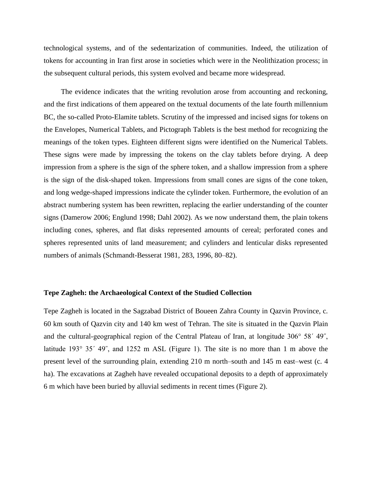technological systems, and of the sedentarization of communities. Indeed, the utilization of tokens for accounting in Iran first arose in societies which were in the Neolithization process; in the subsequent cultural periods, this system evolved and became more widespread.

The evidence indicates that the writing revolution arose from accounting and reckoning, and the first indications of them appeared on the textual documents of the late fourth millennium BC, the so-called Proto-Elamite tablets. Scrutiny of the impressed and incised signs for tokens on the Envelopes, Numerical Tablets, and Pictograph Tablets is the best method for recognizing the meanings of the token types. Eighteen different signs were identified on the Numerical Tablets. These signs were made by impressing the tokens on the clay tablets before drying. A deep impression from a sphere is the sign of the sphere token, and a shallow impression from a sphere is the sign of the disk-shaped token. Impressions from small cones are signs of the cone token, and long wedge-shaped impressions indicate the cylinder token. Furthermore, the evolution of an abstract numbering system has been rewritten, replacing the earlier understanding of the counter signs (Damerow 2006; Englund 1998; Dahl 2002). As we now understand them, the plain tokens including cones, spheres, and flat disks represented amounts of cereal; perforated cones and spheres represented units of land measurement; and cylinders and lenticular disks represented numbers of animals (Schmandt-Besserat 1981, 283, 1996, 80–82).

#### **Tepe Zagheh: the Archaeological Context of the Studied Collection**

Tepe Zagheh is located in the Sagzabad District of Boueen Zahra County in Qazvin Province, c. 60 km south of Qazvin city and 140 km west of Tehran. The site is situated in the Qazvin Plain and the cultural-geographical region of the Central Plateau of Iran, at longitude 306° 58´ 49˝, latitude 193° 35′ 49″, and 1252 m ASL (Figure 1). The site is no more than 1 m above the present level of the surrounding plain, extending 210 m north–south and 145 m east–west (c. 4 ha). The excavations at Zagheh have revealed occupational deposits to a depth of approximately 6 m which have been buried by alluvial sediments in recent times (Figure 2).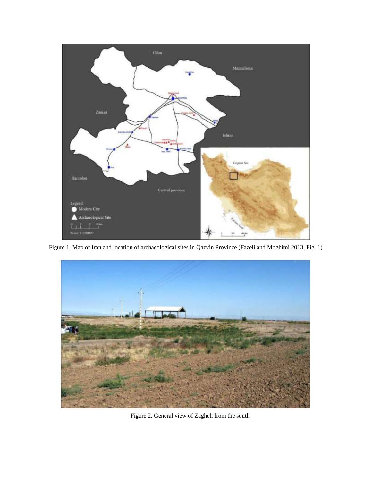

Figure 1. Map of Iran and location of archaeological sites in Qazvin Province (Fazeli and Moghimi 2013, Fig. 1)



Figure 2. General view of Zagheh from the south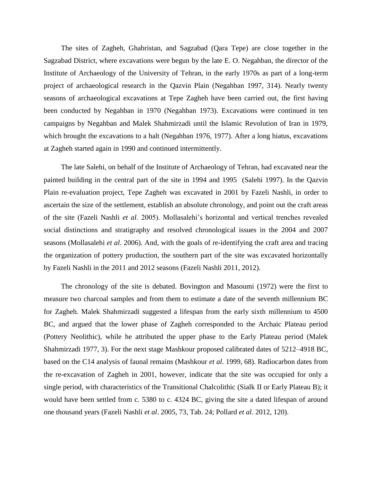The sites of Zagheh, Ghabristan, and Sagzabad (Qara Tepe) are close together in the Sagzabad District, where excavations were begun by the late E. O. Negahban, the director of the Institute of Archaeology of the University of Tehran, in the early 1970s as part of a long-term project of archaeological research in the Qazvin Plain (Negahban 1997, 314). Nearly twenty seasons of archaeological excavations at Tepe Zagheh have been carried out, the first having been conducted by Negahban in 1970 (Negahban 1973). Excavations were continued in ten campaigns by Negahban and Malek Shahmirzadi until the Islamic Revolution of Iran in 1979, which brought the excavations to a halt (Negahban 1976, 1977). After a long hiatus, excavations at Zagheh started again in 1990 and continued intermittently.

The late Salehi, on behalf of the Institute of Archaeology of Tehran, had excavated near the painted building in the central part of the site in 1994 and 1995 (Salehi 1997). In the Qazvin Plain re-evaluation project, Tepe Zagheh was excavated in 2001 by Fazeli Nashli, in order to ascertain the size of the settlement, establish an absolute chronology, and point out the craft areas of the site (Fazeli Nashli *et al*. 2005). Mollasalehi's horizontal and vertical trenches revealed social distinctions and stratigraphy and resolved chronological issues in the 2004 and 2007 seasons (Mollasalehi *et al*. 2006). And, with the goals of re-identifying the craft area and tracing the organization of pottery production, the southern part of the site was excavated horizontally by Fazeli Nashli in the 2011 and 2012 seasons (Fazeli Nashli 2011, 2012).

The chronology of the site is debated. Bovington and Masoumi (1972) were the first to measure two charcoal samples and from them to estimate a date of the seventh millennium BC for Zagheh. Malek Shahmirzadi suggested a lifespan from the early sixth millennium to 4500 BC, and argued that the lower phase of Zagheh corresponded to the Archaic Plateau period (Pottery Neolithic), while he attributed the upper phase to the Early Plateau period (Malek Shahmirzadi 1977, 3). For the next stage Mashkour proposed calibrated dates of 5212–4918 BC, based on the C14 analysis of faunal remains (Mashkour *et al*. 1999, 68). Radiocarbon dates from the re-excavation of Zagheh in 2001, however, indicate that the site was occupied for only a single period, with characteristics of the Transitional Chalcolithic (Sialk II or Early Plateau B); it would have been settled from c. 5380 to c. 4324 BC, giving the site a dated lifespan of around one thousand years (Fazeli Nashli *et al*. 2005, 73, Tab. 24; Pollard *et al*. 2012, 120).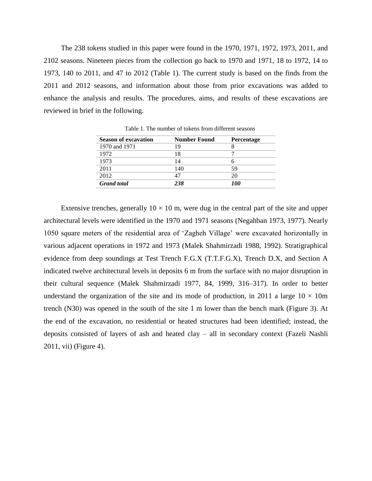The 238 tokens studied in this paper were found in the 1970, 1971, 1972, 1973, 2011, and 2102 seasons. Nineteen pieces from the collection go back to 1970 and 1971, 18 to 1972, 14 to 1973, 140 to 2011, and 47 to 2012 (Table 1). The current study is based on the finds from the 2011 and 2012 seasons, and information about those from prior excavations was added to enhance the analysis and results. The procedures, aims, and results of these excavations are reviewed in brief in the following.

| <b>Season of excavation</b> | <b>Number Found</b> | Percentage |
|-----------------------------|---------------------|------------|
| 1970 and 1971               | 19                  |            |
| 1972                        | 18                  |            |
| 1973                        | 14                  |            |
| 2011                        | 140                 | 59         |
| 2012                        | 47                  | 20         |
| <b>Grand</b> total          | 238                 | 100        |

Table 1. The number of tokens from different seasons

Extensive trenches, generally  $10 \times 10$  m, were dug in the central part of the site and upper architectural levels were identified in the 1970 and 1971 seasons (Negahban 1973, 1977). Nearly 1050 square meters of the residential area of 'Zagheh Village' were excavated horizontally in various adjacent operations in 1972 and 1973 (Malek Shahmirzadi 1988, 1992). Stratigraphical evidence from deep soundings at Test Trench F.G.X (T.T.F.G.X), Trench D.X, and Section A indicated twelve architectural levels in deposits 6 m from the surface with no major disruption in their cultural sequence (Malek Shahmirzadi 1977, 84, 1999, 316–317). In order to better understand the organization of the site and its mode of production, in 2011 a large  $10 \times 10$ m trench (N30) was opened in the south of the site 1 m lower than the bench mark (Figure 3). At the end of the excavation, no residential or heated structures had been identified; instead, the deposits consisted of layers of ash and heated clay – all in secondary context (Fazeli Nashli 2011, vii) (Figure 4).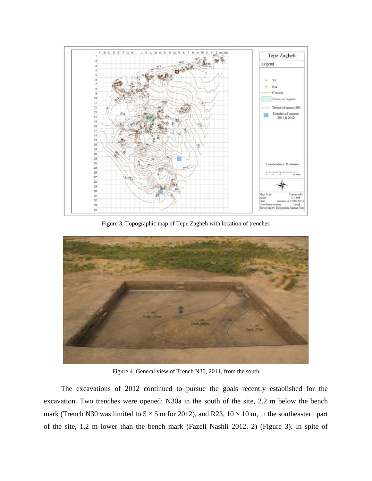

Figure 3. Topographic map of Tepe Zagheh with location of trenches



Figure 4. General view of Trench N30, 2011, from the south

The excavations of 2012 continued to pursue the goals recently established for the excavation. Two trenches were opened: N30a in the south of the site, 2.2 m below the bench mark (Trench N30 was limited to  $5 \times 5$  m for 2012), and R23,  $10 \times 10$  m, in the southeastern part of the site, 1.2 m lower than the bench mark (Fazeli Nashli 2012, 2) (Figure 3). In spite of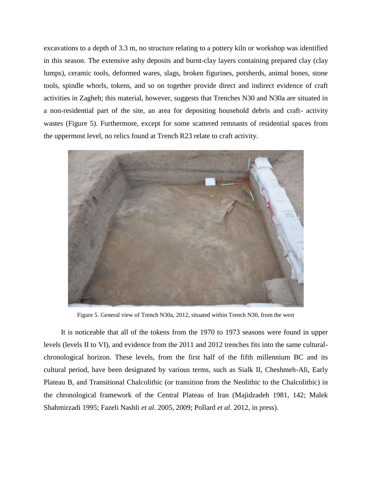excavations to a depth of 3.3 m, no structure relating to a pottery kiln or workshop was identified in this season. The extensive ashy deposits and burnt-clay layers containing prepared clay (clay lumps), ceramic tools, deformed wares, slags, broken figurines, potsherds, animal bones, stone tools, spindle whorls, tokens, and so on together provide direct and indirect evidence of craft activities in Zagheh; this material, however, suggests that Trenches N30 and N30a are situated in a non-residential part of the site, an area for depositing household debris and craft- activity wastes (Figure 5). Furthermore, except for some scattered remnants of residential spaces from the uppermost level, no relics found at Trench R23 relate to craft activity.



Figure 5. General view of Trench N30a, 2012, situated within Trench N30, from the west

It is noticeable that all of the tokens from the 1970 to 1973 seasons were found in upper levels (levels II to VI), and evidence from the 2011 and 2012 trenches fits into the same culturalchronological horizon. These levels, from the first half of the fifth millennium BC and its cultural period, have been designated by various terms, such as Sialk II, Cheshmeh-Ali, Early Plateau B, and Transitional Chalcolithic (or transition from the Neolithic to the Chalcolithic) in the chronological framework of the Central Plateau of Iran (Majidzadeh 1981, 142; Malek Shahmirzadi 1995; Fazeli Nashli *et al*. 2005, 2009; Pollard *et al*. 2012, in press).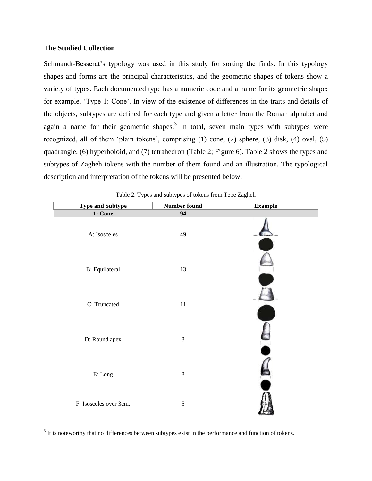### **The Studied Collection**

Schmandt-Besserat's typology was used in this study for sorting the finds. In this typology shapes and forms are the principal characteristics, and the geometric shapes of tokens show a variety of types. Each documented type has a numeric code and a name for its geometric shape: for example, 'Type 1: Cone'. In view of the existence of differences in the traits and details of the objects, subtypes are defined for each type and given a letter from the Roman alphabet and again a name for their geometric shapes.<sup>3</sup> In total, seven main types with subtypes were recognized, all of them 'plain tokens', comprising (1) cone, (2) sphere, (3) disk, (4) oval, (5) quadrangle, (6) hyperboloid, and (7) tetrahedron (Table 2; Figure 6). Table 2 shows the types and subtypes of Zagheh tokens with the number of them found and an illustration. The typological description and interpretation of the tokens will be presented below.

| <b>Type and Subtype</b>  | <b>Number found</b> | <b>Example</b> |
|--------------------------|---------------------|----------------|
| 1: Cone                  | $\overline{94}$     |                |
| A: Isosceles             | 49                  |                |
| <b>B</b> : Equilateral   | 13                  |                |
| C: Truncated             | $11\,$              |                |
| D: Round apex            | $\,8\,$             |                |
| $\operatorname{E:}$ Long | $\,8\,$             |                |
| F: Isosceles over 3cm.   | 5                   |                |

Table 2. Types and subtypes of tokens from Tepe Zagheh

 $3$  It is noteworthy that no differences between subtypes exist in the performance and function of tokens.

 $\ddot{\phantom{a}}$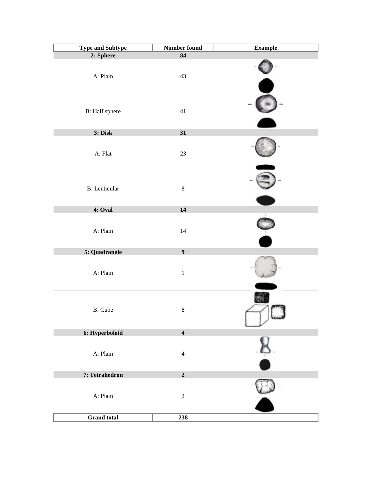| <b>Type and Subtype</b>        | <b>Number found</b>     | <b>Example</b> |
|--------------------------------|-------------------------|----------------|
| 2: Sphere                      | $\overline{84}$         |                |
| A: Plain                       | 43                      |                |
| B: Half sphere                 | $41\,$                  |                |
| 3: Disk                        | 31                      |                |
| A: Flat                        | $23\,$                  |                |
| <b>B</b> : Lenticular          | $\, 8$                  |                |
| 4: Oval                        | 14                      |                |
| A: Plain<br>5: Quadrangle      | 14<br>$\boldsymbol{9}$  |                |
|                                |                         |                |
| A: Plain                       | $\,1\,$                 |                |
| <b>B</b> : Cube                | $\,8\,$                 | <b>Secure</b>  |
| 6: Hyperboloid                 | $\overline{\mathbf{4}}$ |                |
| A: Plain                       | $\overline{4}$          | $\frac{1}{2}$  |
| 7: Tetrahedron                 | $\mathbf 2$             |                |
| A: Plain<br><b>Grand</b> total | $\sqrt{2}$<br>238       |                |
|                                |                         |                |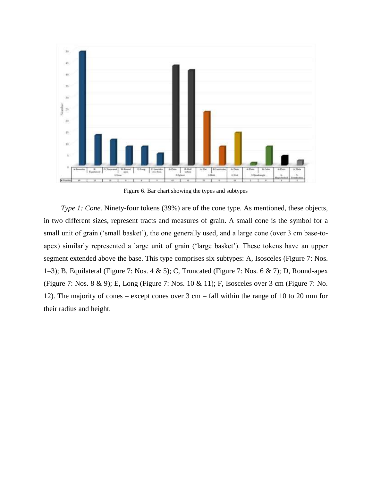

Figure 6. Bar chart showing the types and subtypes

*Type 1: Cone*. Ninety-four tokens (39%) are of the cone type. As mentioned, these objects, in two different sizes, represent tracts and measures of grain. A small cone is the symbol for a small unit of grain ('small basket'), the one generally used, and a large cone (over 3 cm base-toapex) similarly represented a large unit of grain ('large basket'). These tokens have an upper segment extended above the base. This type comprises six subtypes: A, Isosceles (Figure 7: Nos. 1–3); B, Equilateral (Figure 7: Nos. 4 & 5); C, Truncated (Figure 7: Nos. 6 & 7); D, Round-apex (Figure 7: Nos. 8 & 9); E, Long (Figure 7: Nos. 10 & 11); F, Isosceles over 3 cm (Figure 7: No. 12). The majority of cones – except cones over 3 cm – fall within the range of 10 to 20 mm for their radius and height.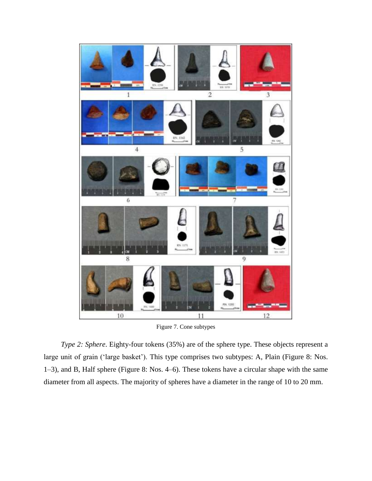

Figure 7. Cone subtypes

*Type 2: Sphere*. Eighty-four tokens (35%) are of the sphere type. These objects represent a large unit of grain ('large basket'). This type comprises two subtypes: A, Plain (Figure 8: Nos. 1–3), and B, Half sphere (Figure 8: Nos. 4–6). These tokens have a circular shape with the same diameter from all aspects. The majority of spheres have a diameter in the range of 10 to 20 mm.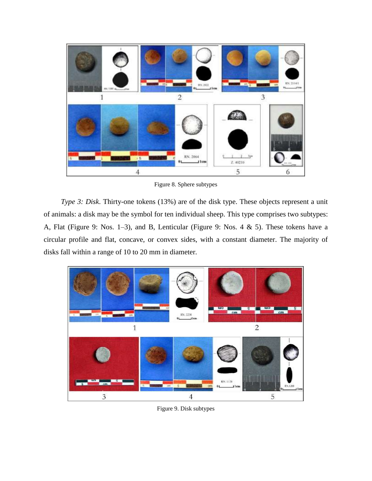

Figure 8. Sphere subtypes

*Type 3: Disk*. Thirty-one tokens (13%) are of the disk type. These objects represent a unit of animals: a disk may be the symbol for ten individual sheep. This type comprises two subtypes: A, Flat (Figure 9: Nos. 1–3), and B, Lenticular (Figure 9: Nos. 4 & 5). These tokens have a circular profile and flat, concave, or convex sides, with a constant diameter. The majority of disks fall within a range of 10 to 20 mm in diameter.



Figure 9. Disk subtypes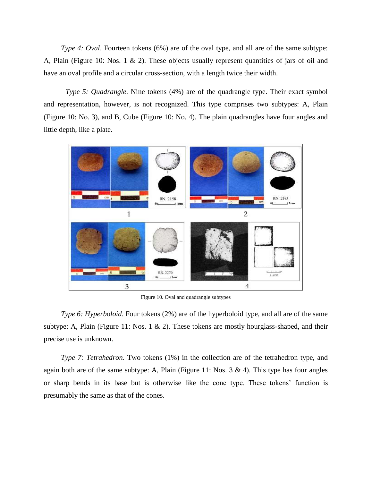*Type 4: Oval.* Fourteen tokens (6%) are of the oval type, and all are of the same subtype: A, Plain (Figure 10: Nos. 1  $\&$  2). These objects usually represent quantities of jars of oil and have an oval profile and a circular cross-section, with a length twice their width.

*Type 5: Quadrangle*. Nine tokens (4%) are of the quadrangle type. Their exact symbol and representation, however, is not recognized. This type comprises two subtypes: A, Plain (Figure 10: No. 3), and B, Cube (Figure 10: No. 4). The plain quadrangles have four angles and little depth, like a plate.



Figure 10. Oval and quadrangle subtypes

*Type 6: Hyperboloid.* Four tokens (2%) are of the hyperboloid type, and all are of the same subtype: A, Plain (Figure 11: Nos. 1 & 2). These tokens are mostly hourglass-shaped, and their precise use is unknown.

*Type 7: Tetrahedron.* Two tokens (1%) in the collection are of the tetrahedron type, and again both are of the same subtype: A, Plain (Figure 11: Nos.  $3 \& 4$ ). This type has four angles or sharp bends in its base but is otherwise like the cone type. These tokens' function is presumably the same as that of the cones.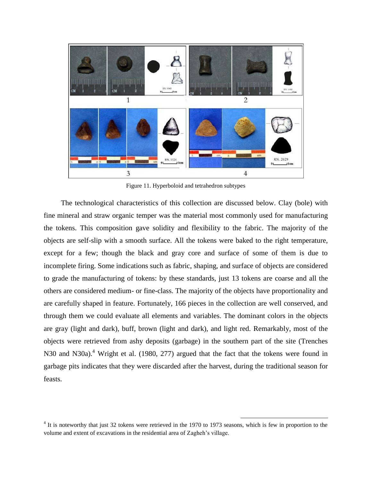

Figure 11. Hyperboloid and tetrahedron subtypes

The technological characteristics of this collection are discussed below. Clay (bole) with fine mineral and straw organic temper was the material most commonly used for manufacturing the tokens. This composition gave solidity and flexibility to the fabric. The majority of the objects are self-slip with a smooth surface. All the tokens were baked to the right temperature, except for a few; though the black and gray core and surface of some of them is due to incomplete firing. Some indications such as fabric, shaping, and surface of objects are considered to grade the manufacturing of tokens: by these standards, just 13 tokens are coarse and all the others are considered medium- or fine-class. The majority of the objects have proportionality and are carefully shaped in feature. Fortunately, 166 pieces in the collection are well conserved, and through them we could evaluate all elements and variables. The dominant colors in the objects are gray (light and dark), buff, brown (light and dark), and light red. Remarkably, most of the objects were retrieved from ashy deposits (garbage) in the southern part of the site (Trenches N30 and N30a).<sup>4</sup> Wright et al. (1980, 277) argued that the fact that the tokens were found in garbage pits indicates that they were discarded after the harvest, during the traditional season for feasts.

<sup>&</sup>lt;sup>4</sup> It is noteworthy that just 32 tokens were retrieved in the 1970 to 1973 seasons, which is few in proportion to the volume and extent of excavations in the residential area of Zagheh's village.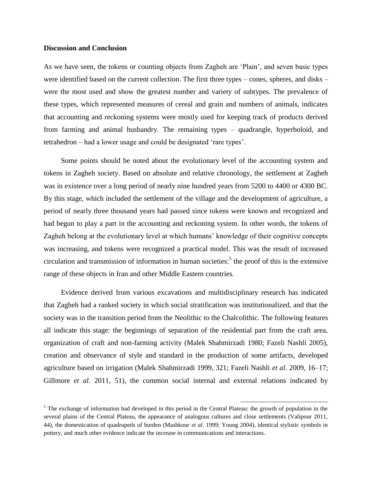#### **Discussion and Conclusion**

As we have seen, the tokens or counting objects from Zagheh are 'Plain', and seven basic types were identified based on the current collection. The first three types – cones, spheres, and disks – were the most used and show the greatest number and variety of subtypes. The prevalence of these types, which represented measures of cereal and grain and numbers of animals, indicates that accounting and reckoning systems were mostly used for keeping track of products derived from farming and animal husbandry. The remaining types – quadrangle, hyperboloid, and tetrahedron – had a lower usage and could be designated 'rare types'.

Some points should be noted about the evolutionary level of the accounting system and tokens in Zagheh society. Based on absolute and relative chronology, the settlement at Zagheh was in existence over a long period of nearly nine hundred years from 5200 to 4400 or 4300 BC. By this stage, which included the settlement of the village and the development of agriculture, a period of nearly three thousand years had passed since tokens were known and recognized and had begun to play a part in the accounting and reckoning system. In other words, the tokens of Zagheh belong at the evolutionary level at which humans' knowledge of their cognitive concepts was increasing, and tokens were recognized a practical model. This was the result of increased circulation and transmission of information in human societies:<sup>5</sup> the proof of this is the extensive range of these objects in Iran and other Middle Eastern countries.

Evidence derived from various excavations and multidisciplinary research has indicated that Zagheh had a ranked society in which social stratification was institutionalized, and that the society was in the transition period from the Neolithic to the Chalcolithic. The following features all indicate this stage: the beginnings of separation of the residential part from the craft area, organization of craft and non-farming activity (Malek Shahmirzadi 1980; Fazeli Nashli 2005), creation and observance of style and standard in the production of some artifacts, developed agriculture based on irrigation (Malek Shahmirzadi 1999, 321; Fazeli Nashli *et al*. 2009, 16–17; Gillmore *et al*. 2011, 51), the common social internal and external relations indicated by

 $\ddot{\phantom{a}}$ 

 $<sup>5</sup>$  The exchange of information had developed in this period in the Central Plateau: the growth of population in the</sup> several plains of the Central Plateau, the appearance of analogous cultures and close settlements (Valipour 2011, 44), the domestication of quadrupeds of burden (Mashkour *et al*. 1999; Young 2004), identical stylistic symbols in pottery, and much other evidence indicate the increase in communications and interactions.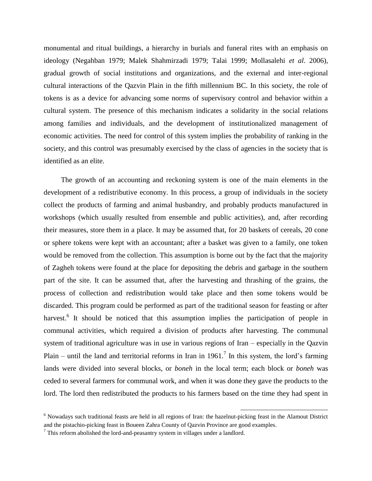monumental and ritual buildings, a hierarchy in burials and funeral rites with an emphasis on ideology (Negahban 1979; Malek Shahmirzadi 1979; Talai 1999; Mollasalehi *et al*. 2006), gradual growth of social institutions and organizations, and the external and inter-regional cultural interactions of the Qazvin Plain in the fifth millennium BC. In this society, the role of tokens is as a device for advancing some norms of supervisory control and behavior within a cultural system. The presence of this mechanism indicates a solidarity in the social relations among families and individuals, and the development of institutionalized management of economic activities. The need for control of this system implies the probability of ranking in the society, and this control was presumably exercised by the class of agencies in the society that is identified as an elite.

The growth of an accounting and reckoning system is one of the main elements in the development of a redistributive economy. In this process, a group of individuals in the society collect the products of farming and animal husbandry, and probably products manufactured in workshops (which usually resulted from ensemble and public activities), and, after recording their measures, store them in a place. It may be assumed that, for 20 baskets of cereals, 20 cone or sphere tokens were kept with an accountant; after a basket was given to a family, one token would be removed from the collection. This assumption is borne out by the fact that the majority of Zagheh tokens were found at the place for depositing the debris and garbage in the southern part of the site. It can be assumed that, after the harvesting and thrashing of the grains, the process of collection and redistribution would take place and then some tokens would be discarded. This program could be performed as part of the traditional season for feasting or after harvest.<sup>6</sup> It should be noticed that this assumption implies the participation of people in communal activities, which required a division of products after harvesting. The communal system of traditional agriculture was in use in various regions of Iran – especially in the Qazvin Plain – until the land and territorial reforms in Iran in 1961.<sup>7</sup> In this system, the lord's farming lands were divided into several blocks, or *boneh* in the local term; each block or *boneh* was ceded to several farmers for communal work, and when it was done they gave the products to the lord. The lord then redistributed the products to his farmers based on the time they had spent in

 $\overline{a}$ 

 $6$  Nowadays such traditional feasts are held in all regions of Iran: the hazelnut-picking feast in the Alamout District and the pistachio-picking feast in Boueen Zahra County of Qazvin Province are good examples.

 $\frac{7}{1}$  This reform abolished the lord-and-peasantry system in villages under a landlord.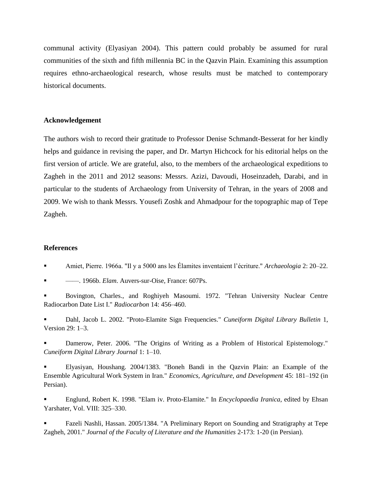communal activity (Elyasiyan 2004). This pattern could probably be assumed for rural communities of the sixth and fifth millennia BC in the Qazvin Plain. Examining this assumption requires ethno-archaeological research, whose results must be matched to contemporary historical documents.

## **Acknowledgement**

The authors wish to record their gratitude to Professor Denise Schmandt-Besserat for her kindly helps and guidance in revising the paper, and Dr. Martyn Hichcock for his editorial helps on the first version of article. We are grateful, also, to the members of the archaeological expeditions to Zagheh in the 2011 and 2012 seasons: Messrs. Azizi, Davoudi, Hoseinzadeh, Darabi, and in particular to the students of Archaeology from University of Tehran, in the years of 2008 and 2009. We wish to thank Messrs. Yousefi Zoshk and Ahmadpour for the topographic map of Tepe Zagheh.

# **References**

Amiet, Pierre. 1966a. "Il y a 5000 ans les Élamites inventaient l'écriture." *Archaeologia* 2: 20–22.

——. 1966b. *Elam*. Auvers-sur-Oise, France: 607Ps.

 Bovington, Charles., and Roghiyeh Masoumi. 1972. "Tehran University Nuclear Centre Radiocarbon Date List I." *Radiocarbon* 14: 456–460.

 Dahl, Jacob L. 2002. "Proto-Elamite Sign Frequencies." *Cuneiform Digital Library Bulletin* 1, Version 29: 1–3.

 Damerow, Peter. 2006. "The Origins of Writing as a Problem of Historical Epistemology." *Cuneiform Digital Library Journal* 1: 1–10.

 Elyasiyan, Houshang. 2004/1383. "Boneh Bandi in the Qazvin Plain: an Example of the Ensemble Agricultural Work System in Iran." *Economics, Agriculture, and Development* 45: 181–192 (in Persian).

 Englund, Robert K. 1998. "Elam iv. Proto-Elamite*.*" In *Encyclopaedia Iranica*, edited by Ehsan Yarshater, Vol. VIII: 325–330.

 Fazeli Nashli, Hassan. 2005/1384. "A Preliminary Report on Sounding and Stratigraphy at Tepe Zagheh, 2001." *Journal of the Faculty of Literature and the Humanities* 2-173: 1-20 (in Persian).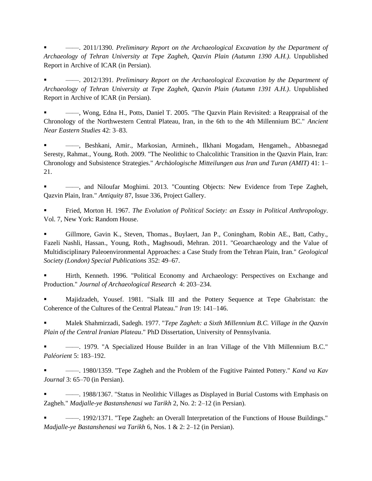——. 2011/1390. *Preliminary Report on the Archaeological Excavation by the Department of Archaeology of Tehran University at Tepe Zagheh, Qazvin Plain (Autumn 1390 A.H.)*. Unpublished Report in Archive of ICAR (in Persian).

 ——. 2012/1391. *Preliminary Report on the Archaeological Excavation by the Department of Archaeology of Tehran University at Tepe Zagheh, Qazvin Plain (Autumn 1391 A.H.)*. Unpublished Report in Archive of ICAR (in Persian).

 ——, Wong, Edna H., Potts, Daniel T. 2005. "The Qazvin Plain Revisited: a Reappraisal of the Chronology of the Northwestern Central Plateau, Iran, in the 6th to the 4th Millennium BC." *Ancient Near Eastern Studies* 42: 3–83.

 ——, Beshkani, Amir., Markosian, Armineh., Ilkhani Mogadam, Hengameh., Abbasnegad Seresty, Rahmat., Young, Roth. 2009. "The Neolithic to Chalcolithic Transition in the Qazvin Plain, Iran: Chronology and Subsistence Strategies." *Archäologische Mitteilungen aus Iran und Turan (AMIT)* 41: 1– 21.

 ——, and Niloufar Moghimi. 2013. "Counting Objects: New Evidence from Tepe Zagheh, Qazvin Plain, Iran." *Antiquity* 87, Issue 336, Project Gallery.

 Fried, Morton H. 1967. *The Evolution of Political Society: an Essay in Political Anthropology*. Vol. 7, New York: Random House.

 Gillmore, Gavin K., Steven, Thomas., Buylaert, Jan P., Coningham, Robin AE., Batt, Cathy., Fazeli Nashli, Hassan., Young, Roth., Maghsoudi, Mehran. 2011. "Geoarchaeology and the Value of Multidisciplinary Paleoenvironmental Approaches: a Case Study from the Tehran Plain, Iran." *Geological Society (London) Special Publications* 352: 49–67.

 Hirth, Kenneth. 1996. "Political Economy and Archaeology: Perspectives on Exchange and Production." *Journal of Archaeological Research* 4: 203–234.

 Majidzadeh, Yousef. 1981. "Sialk III and the Pottery Sequence at Tepe Ghabristan: the Coherence of the Cultures of the Central Plateau." *Iran* 19: 141–146.

 Malek Shahmirzadi, Sadegh. 1977. "*Tepe Zagheh: a Sixth Millennium B.C. Village in the Qazvin Plain of the Central Iranian Plateau*." PhD Dissertation, University of Pennsylvania.

 ——. 1979. "A Specialized House Builder in an Iran Village of the VIth Millennium B.C." *Paléorient* 5: 183–192.

 ——. 1980/1359. "Tepe Zagheh and the Problem of the Fugitive Painted Pottery." *Kand va Kav Journal* 3: 65–70 (in Persian).

 ——. 1988/1367. "Status in Neolithic Villages as Displayed in Burial Customs with Emphasis on Zagheh." *Madjalle-ye Bastanshenasi wa Tarikh* 2, No. 2: 2–12 (in Persian).

 ——. 1992/1371. "Tepe Zagheh: an Overall Interpretation of the Functions of House Buildings." *Madjalle-ye Bastanshenasi wa Tarikh* 6, Nos. 1 & 2: 2–12 (in Persian).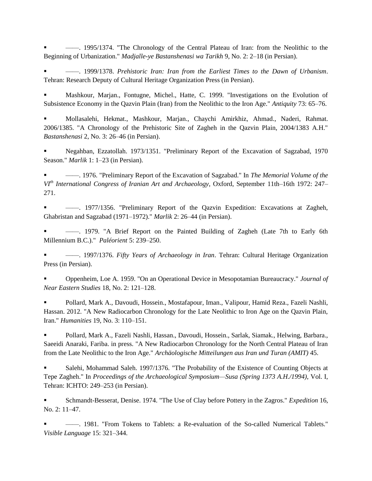——. 1995/1374. "The Chronology of the Central Plateau of Iran: from the Neolithic to the Beginning of Urbanization." *Madjalle-ye Bastanshenasi wa Tarikh* 9, No. 2: 2–18 (in Persian).

 ——. 1999/1378. *Prehistoric Iran: Iran from the Earliest Times to the Dawn of Urbanism*. Tehran: Research Deputy of Cultural Heritage Organization Press (in Persian).

 Mashkour, Marjan., Fontugne, Michel., Hatte, C. 1999. "Investigations on the Evolution of Subsistence Economy in the Qazvin Plain (Iran) from the Neolithic to the Iron Age." *Antiquity* 73: 65–76.

 Mollasalehi, Hekmat., Mashkour, Marjan., Chaychi Amirkhiz, Ahmad., Naderi, Rahmat. 2006/1385. "A Chronology of the Prehistoric Site of Zagheh in the Qazvin Plain, 2004/1383 A.H." *Bastanshenasi* 2, No. 3: 26–46 (in Persian).

 Negahban, Ezzatollah. 1973/1351. "Preliminary Report of the Excavation of Sagzabad, 1970 Season." *Marlik* 1: 1–23 (in Persian).

 ——. 1976. "Preliminary Report of the Excavation of Sagzabad." In *The Memorial Volume of the VIth International Congress of Iranian Art and Archaeology*, Oxford, September 11th–16th 1972: 247– 271.

 ——. 1977/1356. "Preliminary Report of the Qazvin Expedition: Excavations at Zagheh, Ghabristan and Sagzabad (1971–1972)." *Marlik* 2: 26–44 (in Persian).

 ——. 1979. "A Brief Report on the Painted Building of Zagheh (Late 7th to Early 6th Millennium B.C.)." *Paléorient* 5: 239–250.

 ——. 1997/1376. *Fifty Years of Archaeology in Iran*. Tehran: Cultural Heritage Organization Press (in Persian).

 Oppenheim, Loe A. 1959. "On an Operational Device in Mesopotamian Bureaucracy." *Journal of Near Eastern Studies* 18, No. 2: 121–128.

 Pollard, Mark A., Davoudi, Hossein., Mostafapour, Iman., Valipour, Hamid Reza., Fazeli Nashli, Hassan. 2012. "A New Radiocarbon Chronology for the Late Neolithic to Iron Age on the Qazvin Plain, Iran." *Humanities* 19, No. 3: 110–151.

 Pollard, Mark A., Fazeli Nashli, Hassan., Davoudi, Hossein., Sarlak, Siamak., Helwing, Barbara., Saeeidi Anaraki, Fariba. in press. "A New Radiocarbon Chronology for the North Central Plateau of Iran from the Late Neolithic to the Iron Age." *Archäologische Mitteilungen aus Iran und Turan (AMIT)* 45.

 Salehi, Mohammad Saleh. 1997/1376. "The Probability of the Existence of Counting Objects at Tepe Zagheh." In *Proceedings of the Archaeological Symposium—Susa (Spring 1373 A.H./1994)*, Vol. I, Tehran: ICHTO: 249–253 (in Persian).

 Schmandt-Besserat, Denise. 1974. "The Use of Clay before Pottery in the Zagros." *Expedition* 16, No. 2: 11–47.

 ——. 1981. "From Tokens to Tablets: a Re-evaluation of the So-called Numerical Tablets." *Visible Language* 15: 321–344.